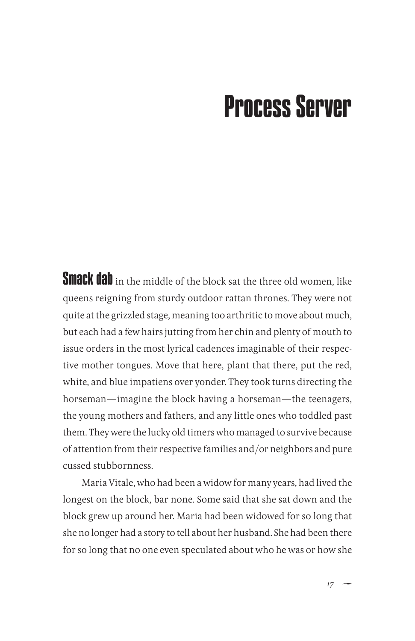## Process Server

**Smack dab** in the middle of the block sat the three old women, like queens reigning from sturdy outdoor rattan thrones. They were not quite at the grizzled stage, meaning too arthritic to move about much, but each had a few hairs jutting from her chin and plenty of mouth to issue orders in the most lyrical cadences imaginable of their respective mother tongues. Move that here, plant that there, put the red, white, and blue impatiens over yonder. They took turns directing the horseman—imagine the block having a horseman—the teenagers, the young mothers and fathers, and any little ones who toddled past them. They were the lucky old timers who managed to survive because of attention from their respective families and/or neighbors and pure cussed stubbornness.

Maria Vitale, who had been a widow for many years, had lived the longest on the block, bar none. Some said that she sat down and the block grew up around her. Maria had been widowed for so long that she no longer had a story to tell about her husband. She had been there for so long that no one even speculated about who he was or how she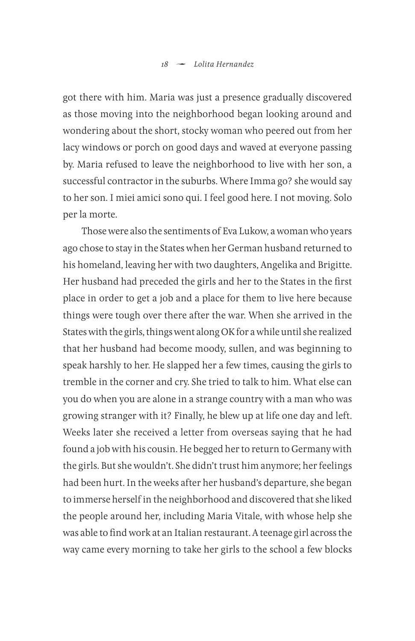got there with him. Maria was just a presence gradually discovered as those moving into the neighborhood began looking around and wondering about the short, stocky woman who peered out from her lacy windows or porch on good days and waved at everyone passing by. Maria refused to leave the neighborhood to live with her son, a successful contractor in the suburbs. Where Imma go? she would say to her son. I miei amici sono qui. I feel good here. I not moving. Solo per la morte.

Those were also the sentiments of Eva Lukow, a woman who years ago chose to stay in the States when her German husband returned to his homeland, leaving her with two daughters, Angelika and Brigitte. Her husband had preceded the girls and her to the States in the first place in order to get a job and a place for them to live here because things were tough over there after the war. When she arrived in the States with the girls, things went along OK for a while until she realized that her husband had become moody, sullen, and was beginning to speak harshly to her. He slapped her a few times, causing the girls to tremble in the corner and cry. She tried to talk to him. What else can you do when you are alone in a strange country with a man who was growing stranger with it? Finally, he blew up at life one day and left. Weeks later she received a letter from overseas saying that he had found a job with his cousin. He begged her to return to Germany with the girls. But she wouldn't. She didn't trust him anymore; her feelings had been hurt. In the weeks after her husband's departure, she began to immerse herself in the neighborhood and discovered that she liked the people around her, including Maria Vitale, with whose help she was able to find work at an Italian restaurant. A teenage girl across the way came every morning to take her girls to the school a few blocks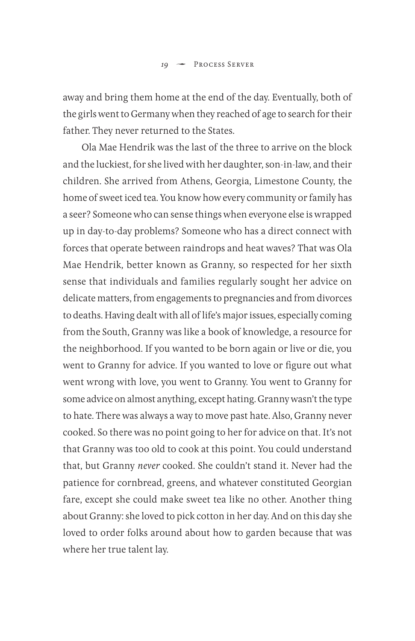away and bring them home at the end of the day. Eventually, both of the girls went to Germany when they reached of age to search for their father. They never returned to the States.

Ola Mae Hendrik was the last of the three to arrive on the block and the luckiest, for she lived with her daughter, son-in-law, and their children. She arrived from Athens, Georgia, Limestone County, the home of sweet iced tea. You know how every community or family has a seer? Someone who can sense things when everyone else is wrapped up in day-to-day problems? Someone who has a direct connect with forces that operate between raindrops and heat waves? That was Ola Mae Hendrik, better known as Granny, so respected for her sixth sense that individuals and families regularly sought her advice on delicate matters, from engagements to pregnancies and from divorces to deaths. Having dealt with all of life's major issues, especially coming from the South, Granny was like a book of knowledge, a resource for the neighborhood. If you wanted to be born again or live or die, you went to Granny for advice. If you wanted to love or figure out what went wrong with love, you went to Granny. You went to Granny for some advice on almost anything, except hating. Granny wasn't the type to hate. There was always a way to move past hate. Also, Granny never cooked. So there was no point going to her for advice on that. It's not that Granny was too old to cook at this point. You could understand that, but Granny *never* cooked. She couldn't stand it. Never had the patience for cornbread, greens, and whatever constituted Georgian fare, except she could make sweet tea like no other. Another thing about Granny: she loved to pick cotton in her day. And on this day she loved to order folks around about how to garden because that was where her true talent lay.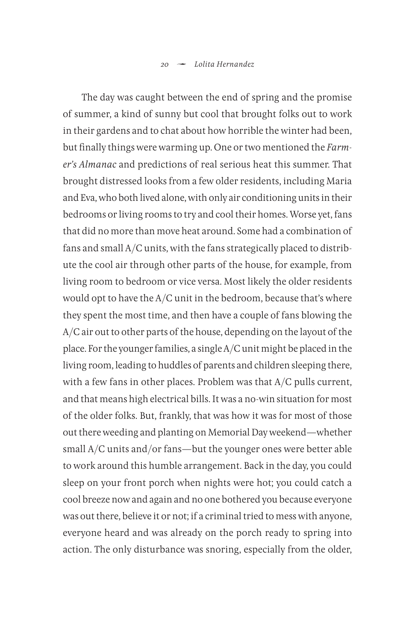The day was caught between the end of spring and the promise of summer, a kind of sunny but cool that brought folks out to work in their gardens and to chat about how horrible the winter had been, but finally things were warming up. One or two mentioned the *Farmer's Almanac* and predictions of real serious heat this summer. That brought distressed looks from a few older residents, including Maria and Eva, who both lived alone, with only air conditioning units in their bedrooms or living rooms to try and cool their homes. Worse yet, fans that did no more than move heat around. Some had a combination of fans and small A/C units, with the fans strategically placed to distribute the cool air through other parts of the house, for example, from living room to bedroom or vice versa. Most likely the older residents would opt to have the A/C unit in the bedroom, because that's where they spent the most time, and then have a couple of fans blowing the A/C air out to other parts of the house, depending on the layout of the place. For the younger families, a single A/C unit might be placed in the living room, leading to huddles of parents and children sleeping there, with a few fans in other places. Problem was that A/C pulls current, and that means high electrical bills. It was a no-win situation for most of the older folks. But, frankly, that was how it was for most of those out there weeding and planting on Memorial Day weekend—whether small A/C units and/or fans—but the younger ones were better able to work around this humble arrangement. Back in the day, you could sleep on your front porch when nights were hot; you could catch a cool breeze now and again and no one bothered you because everyone was out there, believe it or not; if a criminal tried to mess with anyone, everyone heard and was already on the porch ready to spring into action. The only disturbance was snoring, especially from the older,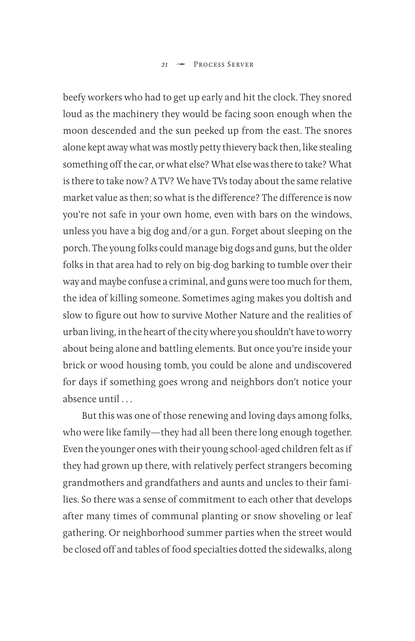beefy workers who had to get up early and hit the clock. They snored loud as the machinery they would be facing soon enough when the moon descended and the sun peeked up from the east. The snores alone kept away what was mostly petty thievery back then, like stealing something off the car, or what else? What else was there to take? What is there to take now? A TV? We have TVs today about the same relative market value as then; so what is the difference? The difference is now you're not safe in your own home, even with bars on the windows, unless you have a big dog and/or a gun. Forget about sleeping on the porch. The young folks could manage big dogs and guns, but the older folks in that area had to rely on big-dog barking to tumble over their way and maybe confuse a criminal, and guns were too much for them, the idea of killing someone. Sometimes aging makes you doltish and slow to figure out how to survive Mother Nature and the realities of urban living, in the heart of the city where you shouldn't have to worry about being alone and battling elements. But once you're inside your brick or wood housing tomb, you could be alone and undiscovered for days if something goes wrong and neighbors don't notice your absence until . . .

But this was one of those renewing and loving days among folks, who were like family—they had all been there long enough together. Even the younger ones with their young school-aged children felt as if they had grown up there, with relatively perfect strangers becoming grandmothers and grandfathers and aunts and uncles to their families. So there was a sense of commitment to each other that develops after many times of communal planting or snow shoveling or leaf gathering. Or neighborhood summer parties when the street would be closed off and tables of food specialties dotted the sidewalks, along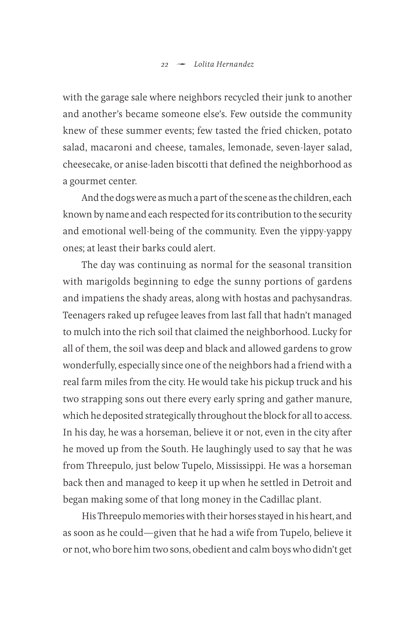with the garage sale where neighbors recycled their junk to another and another's became someone else's. Few outside the community knew of these summer events; few tasted the fried chicken, potato salad, macaroni and cheese, tamales, lemonade, seven-layer salad, cheesecake, or anise-laden biscotti that defined the neighborhood as a gourmet center.

And the dogs were as much a part of the scene as the children, each known by name and each respected for its contribution to the security and emotional well-being of the community. Even the yippy-yappy ones; at least their barks could alert.

The day was continuing as normal for the seasonal transition with marigolds beginning to edge the sunny portions of gardens and impatiens the shady areas, along with hostas and pachysandras. Teenagers raked up refugee leaves from last fall that hadn't managed to mulch into the rich soil that claimed the neighborhood. Lucky for all of them, the soil was deep and black and allowed gardens to grow wonderfully, especially since one of the neighbors had a friend with a real farm miles from the city. He would take his pickup truck and his two strapping sons out there every early spring and gather manure, which he deposited strategically throughout the block for all to access. In his day, he was a horseman, believe it or not, even in the city after he moved up from the South. He laughingly used to say that he was from Threepulo, just below Tupelo, Mississippi. He was a horseman back then and managed to keep it up when he settled in Detroit and began making some of that long money in the Cadillac plant.

His Threepulo memories with their horses stayed in his heart, and as soon as he could—given that he had a wife from Tupelo, believe it or not, who bore him two sons, obedient and calm boys who didn't get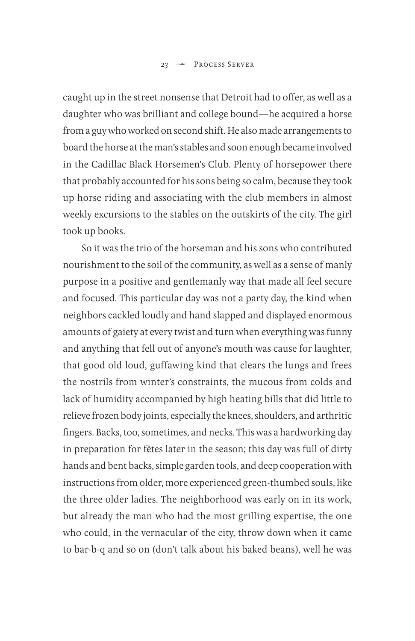caught up in the street nonsense that Detroit had to offer, as well as a daughter who was brilliant and college bound—he acquired a horse from a guy who worked on second shift. He also made arrangements to board the horse at the man's stables and soon enough became involved in the Cadillac Black Horsemen's Club. Plenty of horsepower there that probably accounted for his sons being so calm, because they took up horse riding and associating with the club members in almost weekly excursions to the stables on the outskirts of the city. The girl took up books.

So it was the trio of the horseman and his sons who contributed nourishment to the soil of the community, as well as a sense of manly purpose in a positive and gentlemanly way that made all feel secure and focused. This particular day was not a party day, the kind when neighbors cackled loudly and hand slapped and displayed enormous amounts of gaiety at every twist and turn when everything was funny and anything that fell out of anyone's mouth was cause for laughter, that good old loud, guffawing kind that clears the lungs and frees the nostrils from winter's constraints, the mucous from colds and lack of humidity accompanied by high heating bills that did little to relieve frozen body joints, especially the knees, shoulders, and arthritic fingers. Backs, too, sometimes, and necks. This was a hardworking day in preparation for fêtes later in the season; this day was full of dirty hands and bent backs, simple garden tools, and deep cooperation with instructions from older, more experienced green-thumbed souls, like the three older ladies. The neighborhood was early on in its work, but already the man who had the most grilling expertise, the one who could, in the vernacular of the city, throw down when it came to bar-b-q and so on (don't talk about his baked beans), well he was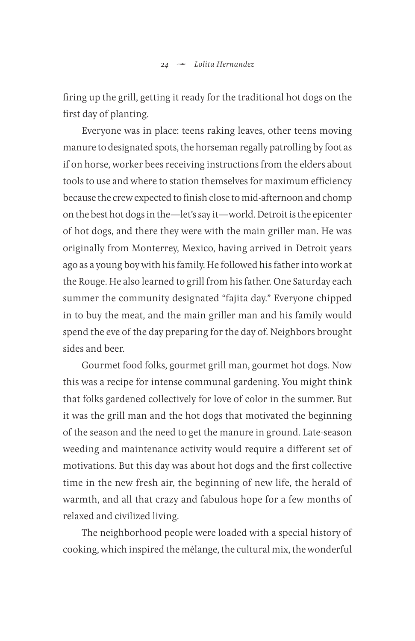firing up the grill, getting it ready for the traditional hot dogs on the first day of planting.

Everyone was in place: teens raking leaves, other teens moving manure to designated spots, the horseman regally patrolling by foot as if on horse, worker bees receiving instructions from the elders about tools to use and where to station themselves for maximum efficiency because the crew expected to finish close to mid-afternoon and chomp on the best hot dogs in the—let's say it—world. Detroit is the epicenter of hot dogs, and there they were with the main griller man. He was originally from Monterrey, Mexico, having arrived in Detroit years ago as a young boy with his family. He followed his father into work at the Rouge. He also learned to grill from his father. One Saturday each summer the community designated "fajita day." Everyone chipped in to buy the meat, and the main griller man and his family would spend the eve of the day preparing for the day of. Neighbors brought sides and beer.

Gourmet food folks, gourmet grill man, gourmet hot dogs. Now this was a recipe for intense communal gardening. You might think that folks gardened collectively for love of color in the summer. But it was the grill man and the hot dogs that motivated the beginning of the season and the need to get the manure in ground. Late-season weeding and maintenance activity would require a different set of motivations. But this day was about hot dogs and the first collective time in the new fresh air, the beginning of new life, the herald of warmth, and all that crazy and fabulous hope for a few months of relaxed and civilized living.

The neighborhood people were loaded with a special history of cooking, which inspired the mélange, the cultural mix, the wonderful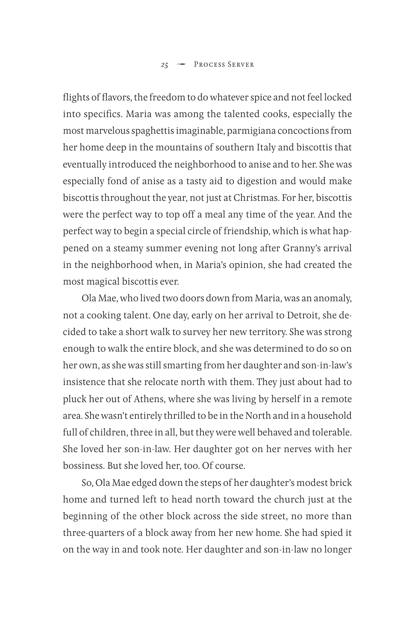flights of flavors, the freedom to do whatever spice and not feel locked into specifics. Maria was among the talented cooks, especially the most marvelous spaghettis imaginable, parmigiana concoctions from her home deep in the mountains of southern Italy and biscottis that eventually introduced the neighborhood to anise and to her. She was especially fond of anise as a tasty aid to digestion and would make biscottis throughout the year, not just at Christmas. For her, biscottis were the perfect way to top off a meal any time of the year. And the perfect way to begin a special circle of friendship, which is what happened on a steamy summer evening not long after Granny's arrival in the neighborhood when, in Maria's opinion, she had created the most magical biscottis ever.

Ola Mae, who lived two doors down from Maria, was an anomaly, not a cooking talent. One day, early on her arrival to Detroit, she decided to take a short walk to survey her new territory. She was strong enough to walk the entire block, and she was determined to do so on her own, as she was still smarting from her daughter and son-in-law's insistence that she relocate north with them. They just about had to pluck her out of Athens, where she was living by herself in a remote area. She wasn't entirely thrilled to be in the North and in a household full of children, three in all, but they were well behaved and tolerable. She loved her son-in-law. Her daughter got on her nerves with her bossiness. But she loved her, too. Of course.

So, Ola Mae edged down the steps of her daughter's modest brick home and turned left to head north toward the church just at the beginning of the other block across the side street, no more than three-quarters of a block away from her new home. She had spied it on the way in and took note. Her daughter and son-in-law no longer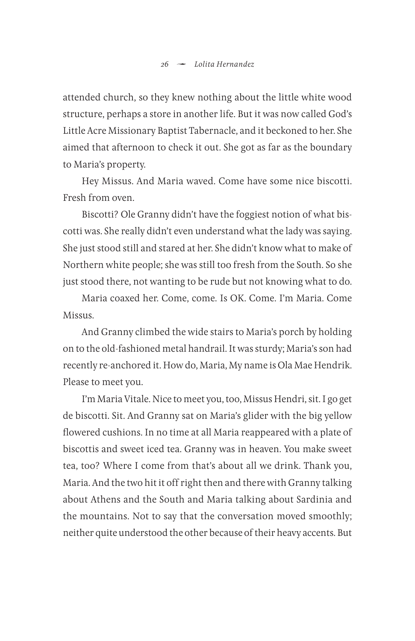attended church, so they knew nothing about the little white wood structure, perhaps a store in another life. But it was now called God's Little Acre Missionary Baptist Tabernacle, and it beckoned to her. She aimed that afternoon to check it out. She got as far as the boundary to Maria's property.

Hey Missus. And Maria waved. Come have some nice biscotti. Fresh from oven.

Biscotti? Ole Granny didn't have the foggiest notion of what biscotti was. She really didn't even understand what the lady was saying. She just stood still and stared at her. She didn't know what to make of Northern white people; she was still too fresh from the South. So she just stood there, not wanting to be rude but not knowing what to do.

Maria coaxed her. Come, come. Is OK. Come. I'm Maria. Come Missus.

And Granny climbed the wide stairs to Maria's porch by holding on to the old-fashioned metal handrail. It was sturdy; Maria's son had recently re-anchored it. How do, Maria, My name is Ola Mae Hendrik. Please to meet you.

I'm Maria Vitale. Nice to meet you, too, Missus Hendri, sit. I go get de biscotti. Sit. And Granny sat on Maria's glider with the big yellow flowered cushions. In no time at all Maria reappeared with a plate of biscottis and sweet iced tea. Granny was in heaven. You make sweet tea, too? Where I come from that's about all we drink. Thank you, Maria. And the two hit it off right then and there with Granny talking about Athens and the South and Maria talking about Sardinia and the mountains. Not to say that the conversation moved smoothly; neither quite understood the other because of their heavy accents. But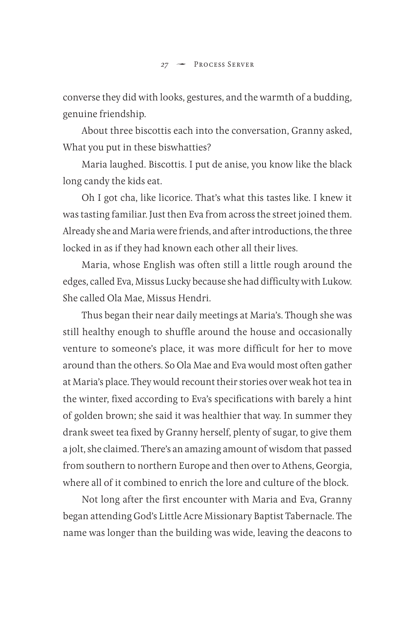converse they did with looks, gestures, and the warmth of a budding, genuine friendship.

About three biscottis each into the conversation, Granny asked, What you put in these biswhatties?

Maria laughed. Biscottis. I put de anise, you know like the black long candy the kids eat.

Oh I got cha, like licorice. That's what this tastes like. I knew it was tasting familiar. Just then Eva from across the street joined them. Already she and Maria were friends, and after introductions, the three locked in as if they had known each other all their lives.

Maria, whose English was often still a little rough around the edges, called Eva, Missus Lucky because she had difficulty with Lukow. She called Ola Mae, Missus Hendri.

Thus began their near daily meetings at Maria's. Though she was still healthy enough to shuffle around the house and occasionally venture to someone's place, it was more difficult for her to move around than the others. So Ola Mae and Eva would most often gather at Maria's place. They would recount their stories over weak hot tea in the winter, fixed according to Eva's specifications with barely a hint of golden brown; she said it was healthier that way. In summer they drank sweet tea fixed by Granny herself, plenty of sugar, to give them a jolt, she claimed. There's an amazing amount of wisdom that passed from southern to northern Europe and then over to Athens, Georgia, where all of it combined to enrich the lore and culture of the block.

Not long after the first encounter with Maria and Eva, Granny began attending God's Little Acre Missionary Baptist Tabernacle. The name was longer than the building was wide, leaving the deacons to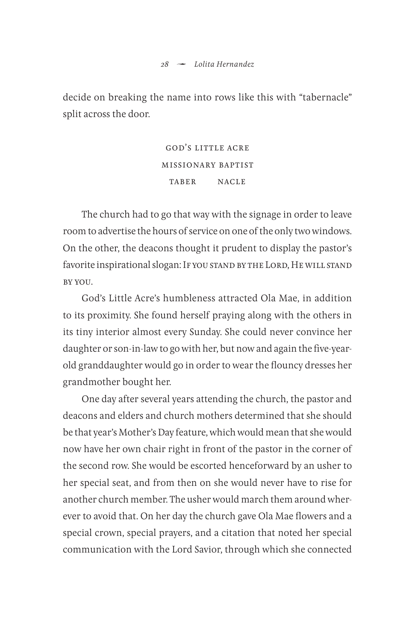decide on breaking the name into rows like this with "tabernacle" split across the door.

> god's little acre missionary baptist taber nacle

The church had to go that way with the signage in order to leave room to advertise the hours of service on one of the only two windows. On the other, the deacons thought it prudent to display the pastor's favorite inspirational slogan: IF YOU STAND BY THE LORD, HE WILL STAND by you.

God's Little Acre's humbleness attracted Ola Mae, in addition to its proximity. She found herself praying along with the others in its tiny interior almost every Sunday. She could never convince her daughter or son-in-law to go with her, but now and again the five-yearold granddaughter would go in order to wear the flouncy dresses her grandmother bought her.

One day after several years attending the church, the pastor and deacons and elders and church mothers determined that she should be that year's Mother's Day feature, which would mean that she would now have her own chair right in front of the pastor in the corner of the second row. She would be escorted henceforward by an usher to her special seat, and from then on she would never have to rise for another church member. The usher would march them around wherever to avoid that. On her day the church gave Ola Mae flowers and a special crown, special prayers, and a citation that noted her special communication with the Lord Savior, through which she connected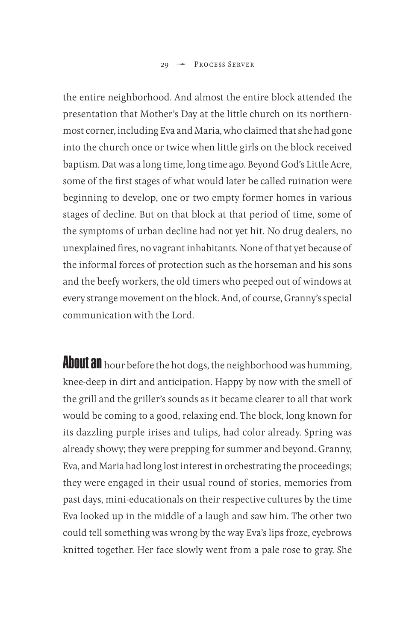the entire neighborhood. And almost the entire block attended the presentation that Mother's Day at the little church on its northernmost corner, including Eva and Maria, who claimed that she had gone into the church once or twice when little girls on the block received baptism. Dat was a long time, long time ago. Beyond God's Little Acre, some of the first stages of what would later be called ruination were beginning to develop, one or two empty former homes in various stages of decline. But on that block at that period of time, some of the symptoms of urban decline had not yet hit. No drug dealers, no unexplained fires, no vagrant inhabitants. None of that yet because of the informal forces of protection such as the horseman and his sons and the beefy workers, the old timers who peeped out of windows at every strange movement on the block. And, of course, Granny's special communication with the Lord.

About an hour before the hot dogs, the neighborhood was humming, knee-deep in dirt and anticipation. Happy by now with the smell of the grill and the griller's sounds as it became clearer to all that work would be coming to a good, relaxing end. The block, long known for its dazzling purple irises and tulips, had color already. Spring was already showy; they were prepping for summer and beyond. Granny, Eva, and Maria had long lost interest in orchestrating the proceedings; they were engaged in their usual round of stories, memories from past days, mini-educationals on their respective cultures by the time Eva looked up in the middle of a laugh and saw him. The other two could tell something was wrong by the way Eva's lips froze, eyebrows knitted together. Her face slowly went from a pale rose to gray. She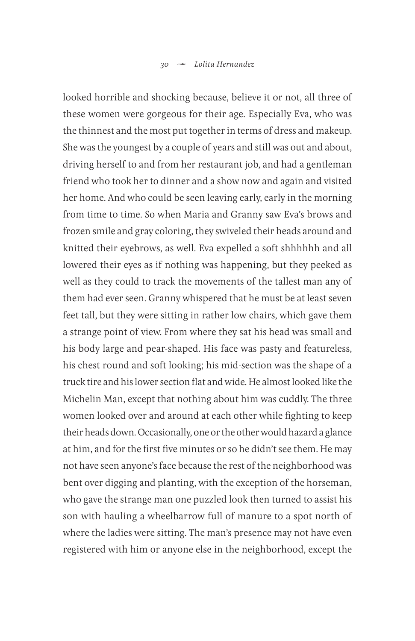looked horrible and shocking because, believe it or not, all three of these women were gorgeous for their age. Especially Eva, who was the thinnest and the most put together in terms of dress and makeup. She was the youngest by a couple of years and still was out and about, driving herself to and from her restaurant job, and had a gentleman friend who took her to dinner and a show now and again and visited her home. And who could be seen leaving early, early in the morning from time to time. So when Maria and Granny saw Eva's brows and frozen smile and gray coloring, they swiveled their heads around and knitted their eyebrows, as well. Eva expelled a soft shhhhhh and all lowered their eyes as if nothing was happening, but they peeked as well as they could to track the movements of the tallest man any of them had ever seen. Granny whispered that he must be at least seven feet tall, but they were sitting in rather low chairs, which gave them a strange point of view. From where they sat his head was small and his body large and pear-shaped. His face was pasty and featureless, his chest round and soft looking; his mid-section was the shape of a truck tire and his lower section flat and wide. He almost looked like the Michelin Man, except that nothing about him was cuddly. The three women looked over and around at each other while fighting to keep their heads down. Occasionally, one or the other would hazard a glance at him, and for the first five minutes or so he didn't see them. He may not have seen anyone's face because the rest of the neighborhood was bent over digging and planting, with the exception of the horseman, who gave the strange man one puzzled look then turned to assist his son with hauling a wheelbarrow full of manure to a spot north of where the ladies were sitting. The man's presence may not have even registered with him or anyone else in the neighborhood, except the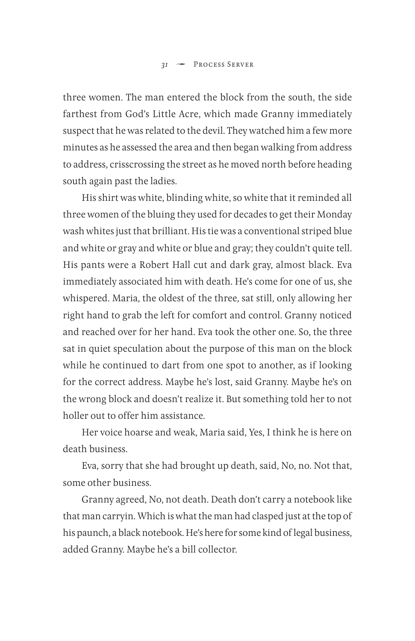three women. The man entered the block from the south, the side farthest from God's Little Acre, which made Granny immediately suspect that he was related to the devil. They watched him a few more minutes as he assessed the area and then began walking from address to address, crisscrossing the street as he moved north before heading south again past the ladies.

His shirt was white, blinding white, so white that it reminded all three women of the bluing they used for decades to get their Monday wash whites just that brilliant. His tie was a conventional striped blue and white or gray and white or blue and gray; they couldn't quite tell. His pants were a Robert Hall cut and dark gray, almost black. Eva immediately associated him with death. He's come for one of us, she whispered. Maria, the oldest of the three, sat still, only allowing her right hand to grab the left for comfort and control. Granny noticed and reached over for her hand. Eva took the other one. So, the three sat in quiet speculation about the purpose of this man on the block while he continued to dart from one spot to another, as if looking for the correct address. Maybe he's lost, said Granny. Maybe he's on the wrong block and doesn't realize it. But something told her to not holler out to offer him assistance.

Her voice hoarse and weak, Maria said, Yes, I think he is here on death business.

Eva, sorry that she had brought up death, said, No, no. Not that, some other business.

Granny agreed, No, not death. Death don't carry a notebook like that man carryin. Which is what the man had clasped just at the top of his paunch, a black notebook. He's here for some kind of legal business, added Granny. Maybe he's a bill collector.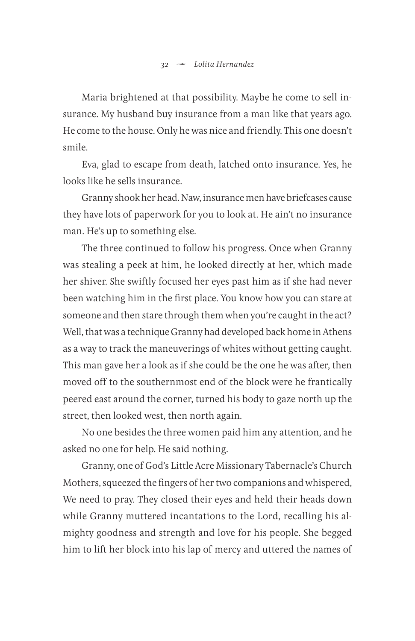Maria brightened at that possibility. Maybe he come to sell insurance. My husband buy insurance from a man like that years ago. He come to the house. Only he was nice and friendly. This one doesn't smile.

Eva, glad to escape from death, latched onto insurance. Yes, he looks like he sells insurance.

Granny shook her head. Naw, insurance men have briefcases cause they have lots of paperwork for you to look at. He ain't no insurance man. He's up to something else.

The three continued to follow his progress. Once when Granny was stealing a peek at him, he looked directly at her, which made her shiver. She swiftly focused her eyes past him as if she had never been watching him in the first place. You know how you can stare at someone and then stare through them when you're caught in the act? Well, that was a technique Granny had developed back home in Athens as a way to track the maneuverings of whites without getting caught. This man gave her a look as if she could be the one he was after, then moved off to the southernmost end of the block were he frantically peered east around the corner, turned his body to gaze north up the street, then looked west, then north again.

No one besides the three women paid him any attention, and he asked no one for help. He said nothing.

Granny, one of God's Little Acre Missionary Tabernacle's Church Mothers, squeezed the fingers of her two companions and whispered, We need to pray. They closed their eyes and held their heads down while Granny muttered incantations to the Lord, recalling his almighty goodness and strength and love for his people. She begged him to lift her block into his lap of mercy and uttered the names of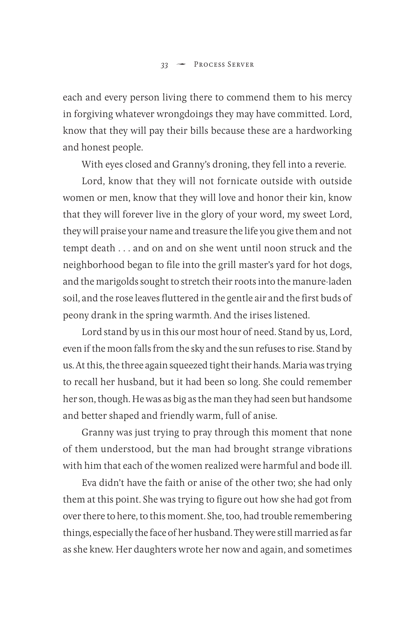each and every person living there to commend them to his mercy in forgiving whatever wrongdoings they may have committed. Lord, know that they will pay their bills because these are a hardworking and honest people.

With eyes closed and Granny's droning, they fell into a reverie.

Lord, know that they will not fornicate outside with outside women or men, know that they will love and honor their kin, know that they will forever live in the glory of your word, my sweet Lord, they will praise your name and treasure the life you give them and not tempt death . . . and on and on she went until noon struck and the neighborhood began to file into the grill master's yard for hot dogs, and the marigolds sought to stretch their roots into the manure-laden soil, and the rose leaves fluttered in the gentle air and the first buds of peony drank in the spring warmth. And the irises listened.

Lord stand by us in this our most hour of need. Stand by us, Lord, even if the moon falls from the sky and the sun refuses to rise. Stand by us. At this, the three again squeezed tight their hands. Maria was trying to recall her husband, but it had been so long. She could remember her son, though. He was as big as the man they had seen but handsome and better shaped and friendly warm, full of anise.

Granny was just trying to pray through this moment that none of them understood, but the man had brought strange vibrations with him that each of the women realized were harmful and bode ill.

Eva didn't have the faith or anise of the other two; she had only them at this point. She was trying to figure out how she had got from over there to here, to this moment. She, too, had trouble remembering things, especially the face of her husband. They were still married as far as she knew. Her daughters wrote her now and again, and sometimes